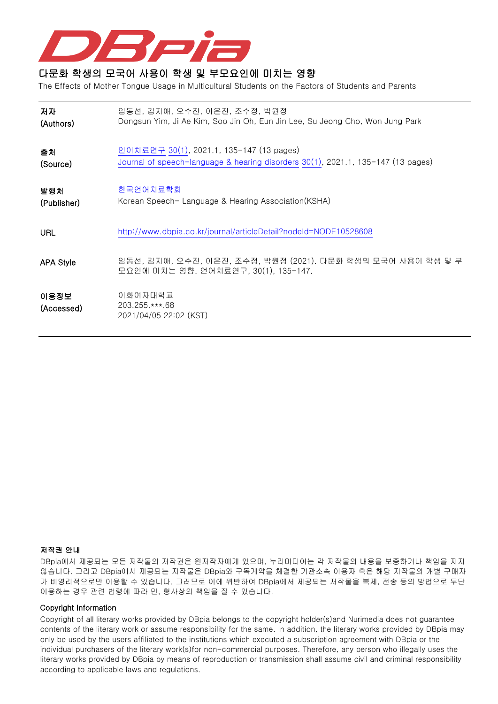

## 다문화 학생의 모국어 사용이 학생 및 부모요인에 미치는 영향

The Effects of Mother Tongue Usage in Multicultural Students on the Factors of Students and Parents

| 저자                 | 임동선, 김지애, 오수진, 이은진, 조수정, 박원정                                                                        |
|--------------------|-----------------------------------------------------------------------------------------------------|
| (Authors)          | Dongsun Yim, Ji Ae Kim, Soo Jin Oh, Eun Jin Lee, Su Jeong Cho, Won Jung Park                        |
| 출처                 | 언어치료연구 30(1), 2021.1, 135-147 (13 pages)                                                            |
| (Source)           | Journal of speech-language & hearing disorders 30(1), 2021.1, 135-147 (13 pages)                    |
| 발행처                | 한국언어치료학회                                                                                            |
| (Publisher)        | Korean Speech- Language & Hearing Association(KSHA)                                                 |
| URL                | http://www.dbpia.co.kr/journal/articleDetail?nodeId=NODE10528608                                    |
| <b>APA Style</b>   | 임동선, 김지애, 오수진, 이은진, 조수정, 박원정 (2021). 다문화 학생의 모국어 사용이 학생 및 부<br>모요인에 미치는 영향. 언어치료연구, 30(1), 135-147. |
| 이용정보<br>(Accessed) | 이화여자대학교<br>203.255.***.68<br>2021/04/05 22:02 (KST)                                                 |

## 저작권 안내

DBpia에서 제공되는 모든 저작물의 저작권은 원저작자에게 있으며, 누리미디어는 각 저작물의 내용을 보증하거나 책임을 지지 않습니다. 그리고 DBpia에서 제공되는 저작물은 DBpia와 구독계약을 체결한 기관소속 이용자 혹은 해당 저작물의 개별 구매자 가 비영리적으로만 이용할 수 있습니다. 그러므로 이에 위반하여 DBpia에서 제공되는 저작물을 복제, 전송 등의 방법으로 무단 이용하는 경우 관련 법령에 따라 민, 형사상의 책임을 질 수 있습니다.

## Copyright Information

Copyright of all literary works provided by DBpia belongs to the copyright holder(s)and Nurimedia does not guarantee contents of the literary work or assume responsibility for the same. In addition, the literary works provided by DBpia may only be used by the users affiliated to the institutions which executed a subscription agreement with DBpia or the individual purchasers of the literary work(s)for non-commercial purposes. Therefore, any person who illegally uses the literary works provided by DBpia by means of reproduction or transmission shall assume civil and criminal responsibility according to applicable laws and regulations.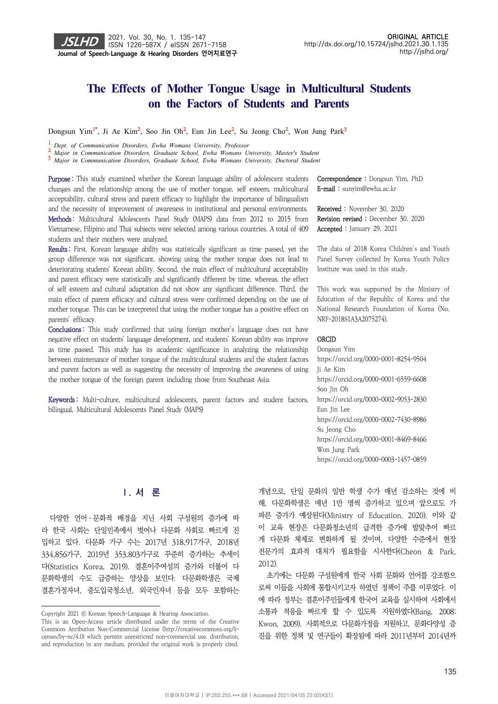## **The Effects of Mother Tongue Usage in Multicultural Students**  on the Factors of Students and Parents

Dongsun Yim<sup>1\*</sup>, Ji Ae Kim<sup>2</sup>, Soo Jin Oh<sup>2</sup>, Eun Jin Lee<sup>2</sup>, Su Jeong Cho<sup>2</sup>, Won Jung Park<sup>3</sup>

<sup>1</sup> Dept. of Communication Disorders, Ewha Womans University, Professor

2 Major in Communication Disorders, Graduate School, Ewha Womans University, Master's Student<br>3 Major in Communication Disorders, Graduate School, Ewha Womans University, Doctoral Student

Purpose: This study examined whether the Korean language ability of adolescent students changes and the relationship among the use of mother tongue, self esteem, multicultural acceptability, cultural stress and parent efficacy to highlight the importance of bilingualism and the necessity of improvement of awareness in institutional and personal environments. Methods: Multicultural Adolescents Panel Study (MAPS) data from 2012 to 2015 from Vietnamese, Filipino and Thai subjects were selected among various countries. A total of 409 students and their mothers were analyzed.

Results: First, Korean language ability was statistically significant as time passed, yet the group difference was not significant, showing using the mother tongue does not lead to deteriorating students' Korean ability. Second, the main effect of multicultural acceptability and parent efficacy were statistically and significantly different by time, whereas, the effect of self esteem and cultural adaptation did not show any significant difference. Third, the main effect of parent efficacy and cultural stress were confirmed depending on the use of mother tongue. This can be interpreted that using the mother tongue has a positive effect on parents' efficacy.

Conclusions : This study confirmed that using foreign mother's language does not have negative effect on students' language development, and students' Korean ability was improve as time passed. This study has its academic significance in analyzing the relationship between maintenance of mother tongue of the multicultural students and the student factors and parent factors as well as suggesting the necessity of improving the awareness of using the mother tongue of the foreign parent including those from Southeast Asia.

Keywords: Multi-culture, multicultural adolescents, parent factors and student factors, bilingual, Multicultural Adolescents Panel Study (MAPS)

Correspondence : Dongsun Yim, PhD E-mail : sunyim@ewha.ac.kr

Received : November 30, 2020 Revision revised : December 30, 2020 Accepted : January 29, 2021

The data of 2018 Korea Children's and Youth Panel Survey collected by Korea Youth Policy Institute was used in this study.

This work was supported by the Ministry of Education of the Republic of Korea and the National Research Foundation of Korea (No. NRF-2018S1A3A2075274).

## **ORCID**

Dongsun Yim https://orcid.org/0000-0001-8254-9504 Ji Ae Kim https://orcid.org/0000-0001-6559-6608 Soo Jin Oh https://orcid.org/0000-0002-9053-2830 Eun Jin Lee https://orcid.org/0000-0002-7430-8986 Su Jeong Cho https://orcid.org/0000-0001-8469-8466 Won Jung Park https://orcid.org/0000-0003-1457-0859

## **Ⅰ. 서 론**

다양한 언어ㆍ문화적 배경을 지닌 사회 구성원의 증가에 따 라 한국 사회는 단일민족에서 벗어나 다문화 사회로 빠르게 진 입하고 있다. 다문화 가구 수는 2017년 318,917가구, 2018년 334,856가구, 2019년 353,803가구로 꾸준히 증가하는 추세이 다(Statistics Korea, 2019). 결혼이주여성의 증가와 더불어 다 문화학생의 수도 급증하는 양상을 보인다. 다문화학생은 국제 결혼가정자녀, 중도입국청소년, 외국인자녀 등을 모두 포함하는

개념으로, 단일 문화의 일반 학생 수가 매년 감소하는 것에 비 해, 다문화학생은 매년 1만 명씩 증가하고 있으며 앞으로도 가 파른 증가가 예상된다(Ministry of Education, 2020). 이와 같 이 교육 현장은 다문화청소년의 급격한 증가에 발맞추어 빠르 게 다문화 체제로 변화하게 될 것이며, 다양한 수준에서 현장 전문가의 효과적 대처가 필요함을 시사한다(Cheon & Park, 2012).

초기에는 다문화 구성원에게 한국 사회 문화와 언어를 강조함으 로써 이들을 사회에 통합시키고자 하였던 정책이 주를 이루었다. 이 에 따라 정부는 결혼이주민들에게 한국어 교육을 실시하여 사회에서 소통과 적응을 빠르게 할 수 있도록 지원하였다(Bang, 2008; Kwon, 2009). 사회적으로 다문화가정을 지원하고, 문화다양성 증 진을 위한 정책 및 연구들이 확장됨에 따라 2011년부터 2014년까

Copyright 2021 ⓒ Korean Speech-Language & Hearing Association.

This is an Open-Access article distributed under the terms of the Creative Commons Attribution Non-Commercial License (http://creativecommons.org/licenses/by-nc/4.0) which permits unrestricted non-commercial use, distribution, and reproduction in any medium, provided the original work is properly cited.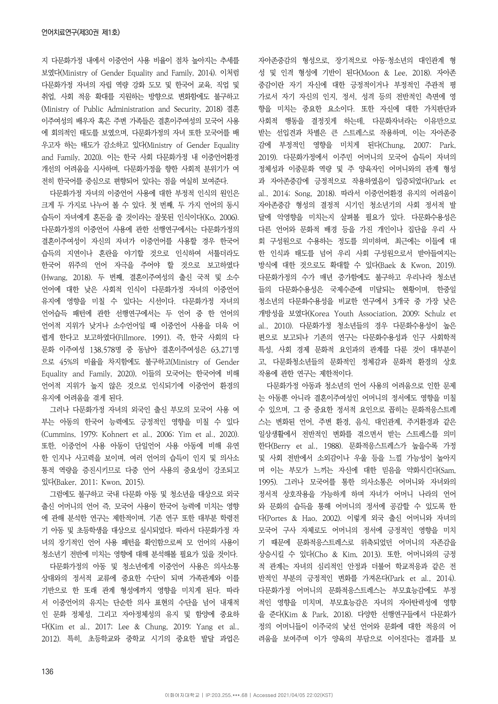지 다문화가정 내에서 이중언어 사용 비율이 점차 높아지는 추세를 보였다(Ministry of Gender Equality and Family, 2014). 이처럼 다문화가정 자녀의 자립 역량 강화 도모 및 한국어 교육, 직업 및 취업, 사회 적응 확대를 지원하는 방향으로 변화함에도 불구하고 (Ministry of Public Administration and Security, 2018) 결혼 이주여성의 배우자 혹은 주변 가족들은 결혼이주여성의 모국어 사용 에 회의적인 태도를 보였으며, 다문화가정의 자녀 또한 모국어를 배 우고자 하는 태도가 감소하고 있다(Ministry of Gender Equality and Family, 2020). 이는 한국 사회 다문화가정 내 이중언어환경 개선의 어려움을 시사하며, 다문화가정을 향한 사회적 분위기가 여 전히 한국어를 중심으로 편향되어 있다는 점을 여실히 보여준다.

다문화가정 자녀의 이중언어 사용에 대한 부정적 인식의 원인은 크게 두 가지로 나누어 볼 수 있다. 첫 번째, 두 가지 언어의 동시 습득이 자녀에게 혼돈을 줄 것이라는 잘못된 인식이다(Ko, 2006). 다문화가정의 이중언어 사용에 관한 선행연구에서는 다문화가정의 결혼이주여성이 자신의 자녀가 이중언어를 사용할 경우 한국어 습득의 지연이나 혼란을 야기할 것으로 인식하여 서툴더라도 한국어 위주의 언어 자극을 주어야 할 것으로 보고하였다 (Hwang, 2018). 두 번째, 결혼이주여성의 출신 국적 및 소수 언어에 대한 낮은 사회적 인식이 다문화가정 자녀의 이중언어 유지에 영향을 미칠 수 있다는 시선이다. 다문화가정 자녀의 언어습득 패턴에 관한 선행연구에서는 두 언어 중 한 언어의 언어적 지위가 낮거나 소수언어일 때 이중언어 사용을 더욱 어 렵게 한다고 보고하였다(Fillmore, 1991). 즉, 한국 사회의 다 문화 이주여성 138,578명 중 동남아 결혼이주여성은 63,271명 으로 45%의 비율을 차지함에도 불구하고(Ministry of Gender Equality and Family, 2020), 이들의 모국어는 한국어에 비해 언어적 지위가 높지 않은 것으로 인식되기에 이중언어 환경의 유지에 어려움을 겪게 된다.

그러나 다문화가정 자녀의 외국인 출신 부모의 모국어 사용 여 부는 아동의 한국어 능력에도 긍정적인 영향을 미칠 수 있다 (Cummins, 1979; Kohnert et al., 2006; Yim et al., 2020). 또한, 이중언어 사용 아동이 단일언어 사용 아동에 비해 유연 한 인지나 사고력을 보이며, 여러 언어의 습득이 인지 및 의사소 통적 역량을 증진시키므로 다중 언어 사용의 중요성이 강조되고 있다(Baker, 2011; Kwon, 2015).

그럼에도 불구하고 국내 다문화 아동 및 청소년을 대상으로 외국 출신 어머니의 언어 즉, 모국어 사용이 한국어 능력에 미치는 영향 에 관해 분석한 연구는 제한적이며, 기존 연구 또한 대부분 학령전 기 아동 및 초등학생을 대상으로 실시되었다. 따라서 다문화가정 자 녀의 장기적인 언어 사용 패턴을 확인함으로써 모 언어의 사용이 청소년기 전반에 미치는 영향에 대해 분석해볼 필요가 있을 것이다.

다문화가정의 아동 및 청소년에게 이중언어 사용은 의사소통 상대와의 정서적 교류에 중요한 수단이 되며 가족관계와 이를 기반으로 한 또래 관계 형성에까지 영향을 미치게 된다. 따라 서 이중언어의 유지는 단순한 의사 표현의 수단을 넘어 내재적 인 문화 정체성, 그리고 자아정체성의 유지 및 함양에 중요하 다(Kim et al., 2017; Lee & Chung, 2019; Yang et al., 2012). 특히, 초등학교와 중학교 시기의 중요한 발달 과업은 자아존중감의 형성으로, 장기적으로 아동·청소년의 대인관계 형 성 및 인격 형성에 기반이 된다(Moon & Lee, 2018). 자아존 중감이란 자기 자신에 대한 긍정적이거나 부정적인 주관적 평 가로서 자기 자신의 인지, 정서, 성격 등의 전반적인 측면에 영 향을 미치는 중요한 요소이다. 또한 자신에 대한 가치판단과 사회적 행동을 결정짓게 하는데, 다문화자녀라는 이유만으로 받는 선입견과 차별은 큰 스트레스로 작용하며, 이는 자아존중 감에 부정적인 영향을 미치게 된다(Chung, 2007; Park, 2019). 다문화가정에서 이주민 어머니의 모국어 습득이 자녀의 정체성과 이중문화 역량 및 주 양육자인 어머니와의 관계 형성 과 자아존중감에 긍정적으로 작용하였음이 입증되었다(Park et al., 2014; Song, 2018). 따라서 이중언어환경 유지의 어려움이 자아존중감 형성의 결정적 시기인 청소년기의 사회 정서적 발 달에 악영향을 미치는지 살펴볼 필요가 있다. 다문화수용성은 다른 언어와 문화적 배경 등을 가진 개인이나 집단을 우리 사 회 구성원으로 수용하는 정도를 의미하며, 최근에는 이들에 대 한 인식과 태도를 넘어 우리 사회 구성원으로서 받아들여지는 방식에 대한 것으로도 확대할 수 있다(Baek & Kwon, 2019). 다문화가정의 수가 매년 증가함에도 불구하고 우리나라 청소년 들의 다문화수용성은 국제수준에 미달되는 현황이며, 한중일 청소년의 다문화수용성을 비교한 연구에서 3개국 중 가장 낮은 개방성을 보였다(Korea Youth Association, 2009; Schulz et al., 2010). 다문화가정 청소년들의 경우 다문화수용성이 높은 편으로 보고되나 기존의 연구는 다문화수용성과 인구 사회학적 특성, 사회 경제 문화적 요인과의 관계를 다룬 것이 대부분이 고, 다문화청소년들의 문화적인 정체감과 문화적 환경의 상호 작용에 관한 연구는 제한적이다.

다문화가정 아동과 청소년의 언어 사용의 어려움으로 인한 문제 는 아동뿐 아니라 결혼이주여성인 어머니의 정서에도 영향을 미칠 수 있으며, 그 중 중요한 정서적 요인으로 꼽히는 문화적응스트레 스는 변화된 언어, 주변 환경, 음식, 대인관계, 주거환경과 같은 일상생활에서 전반적인 변화를 겪으면서 받는 스트레스를 의미 한다(Berry et al., 1988). 문화적응스트레스가 높을수록 가정 및 사회 전반에서 소외감이나 우울 등을 느낄 가능성이 높아지 며 이는 부모가 느끼는 자신에 대한 믿음을 약화시킨다(Sam, 1995). 그러나 모국어를 통한 의사소통은 어머니와 자녀와의 정서적 상호작용을 가능하게 하며 자녀가 어머니 나라의 언어 와 문화의 습득을 통해 어머니의 정서에 공감할 수 있도록 한 다(Portes & Hao, 2002). 이렇게 외국 출신 어머니와 자녀의 모국어 구사 자체로도 어머니의 정서에 긍정적인 영향을 미치 기 때문에 문화적응스트레스로 위축되었던 어머니의 자존감을 상승시킬 수 있다(Cho & Kim, 2013). 또한, 어머니와의 긍정 적 관계는 자녀의 심리적인 안정과 더불어 학교적응과 같은 전 반적인 부분의 긍정적인 변화를 가져온다(Park et al., 2014). 다문화가정 어머니의 문화적응스트레스는 부모효능감에도 부정 적인 영향을 미치며, 부모효능감은 자녀의 자아탄력성에 영향 을 준다(Kim & Park, 2018). 다양한 선행연구들에서 다문화가 정의 어머니들이 이주국의 낯선 언어와 문화에 대한 적응의 어 려움을 보여주며 이가 양육의 부담으로 이어진다는 결과를 보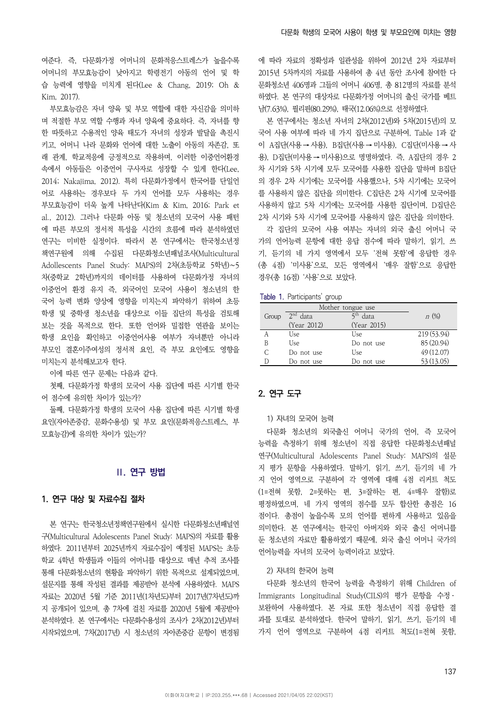여준다. 즉, 다문화가정 어머니의 문화적응스트레스가 높을수록 어머니의 부모효능감이 낮아지고 학령전기 아동의 언어 및 학 습 능력에 영향을 미치게 된다(Lee & Chang, 2019; Oh & Kim, 2017).

부모효능감은 자녀 양육 및 부모 역할에 대한 자신감을 의미하 며 적절한 부모 역할 수행과 자녀 양육에 중요하다. 즉, 자녀를 향 한 따뜻하고 수용적인 양육 태도가 자녀의 성장과 발달을 촉진시 키고, 어머니 나라 문화와 언어에 대한 노출이 아동의 자존감, 또 래 관계, 학교적응에 긍정적으로 작용하며, 이러한 이중언어환경 속에서 아동들은 이중언어 구사자로 성장할 수 있게 한다(Lee, 2014; Nakajima, 2012). 특히 다문화가정에서 한국어를 단일언 어로 사용하는 경우보다 두 가지 언어를 모두 사용하는 경우 부모효능감이 더욱 높게 나타난다(Kim & Kim, 2016; Park et al., 2012). 그러나 다문화 아동 및 청소년의 모국어 사용 패턴 에 따른 부모의 정서적 특성을 시간의 흐름에 따라 분석하였던 연구는 미비한 실정이다. 따라서 본 연구에서는 한국청소년정 책연구원에 의해 수집된 다문화청소년패널조사(Multicultural Adollescents Panel Study: MAPS)의 2차(초등학교 5학년)∼5 차(중학교 2학년)까지의 데이터를 사용하여 다문화가정 자녀의 이중언어 환경 유지 즉, 외국어인 모국어 사용이 청소년의 한 국어 능력 변화 양상에 영향을 미치는지 파악하기 위하여 초등 학생 및 중학생 청소년을 대상으로 이들 집단의 특성을 검토해 보는 것을 목적으로 한다. 또한 언어와 밀접한 연관을 보이는 학생 요인을 확인하고 이중언어사용 여부가 자녀뿐만 아니라 부모인 결혼이주여성의 정서적 요인, 즉 부모 요인에도 영향을 미치는지 분석해보고자 한다.

이에 따른 연구 문제는 다음과 같다.

첫째, 다문화가정 학생의 모국어 사용 집단에 따른 시기별 한국 어 점수에 유의한 차이가 있는가?

둘째, 다문화가정 학생의 모국어 사용 집단에 따른 시기별 학생 요인(자아존중감, 문화수용성) 및 부모 요인(문화적응스트레스, 부 모효능감)에 유의한 차이가 있는가?

## **Ⅱ. 연구 방법**

## 1. 연구 대상 및 자료수집 절차

본 연구는 한국청소년정책연구원에서 실시한 다문화청소년패널연 구(Multicultural Adolescents Panel Study: MAPS)의 자료를 활용 하였다. 2011년부터 2025년까지 자료수집이 예정된 MAPS는 초등 학교 4학년 학생들과 이들의 어머니를 대상으로 매년 추적 조사를 통해 다문화청소년의 현황을 파악하기 위한 목적으로 설계되었으며, 설문지를 통해 작성된 결과를 제공받아 분석에 사용하였다. MAPS 자료는 2020년 5월 기준 2011년(1차년도)부터 2017년(7차년도)까 지 공개되어 있으며, 총 7차에 걸친 자료를 2020년 5월에 제공받아 분석하였다. 본 연구에서는 다문화수용성의 조사가 2차(2012년)부터 시작되었으며, 7차(2017년) 시 청소년의 자아존중감 문항이 변경됨

에 따라 자료의 정확성과 일관성을 위하여 2012년 2차 자료부터 2015년 5차까지의 자료를 사용하여 총 4년 동안 조사에 참여한 다 문화청소년 406명과 그들의 어머니 406명, 총 812명의 자료를 분석 하였다. 본 연구의 대상자로 다문화가정 어머니의 출신 국가를 베트 남(7.63%), 필리핀(80.29%), 태국(12.06%)으로 선정하였다.

본 연구에서는 청소년 자녀의 2차(2012년)와 5차(2015년)의 모 국어 사용 여부에 따라 네 가지 집단으로 구분하여, Table 1과 같 이 A집단(사용 → 사용), B집단(사용 → 미사용), C집단(미사용 → 사 용), D집단(미사용 → 미사용)으로 명명하였다. 즉, A집단의 경우 2 차 시기와 5차 시기에 모두 모국어를 사용한 집단을 말하며 B집단 의 경우 2차 시기에는 모국어를 사용했으나, 5차 시기에는 모국어 를 사용하지 않은 집단을 의미한다. C집단은 2차 시기에 모국어를 사용하지 않고 5차 시기에는 모국어를 사용한 집단이며, D집단은 2차 시기와 5차 시기에 모국어를 사용하지 않은 집단을 의미한다.

각 집단의 모국어 사용 여부는 자녀의 외국 출신 어머니 국 가의 언어능력 문항에 대한 응답 점수에 따라 말하기, 읽기, 쓰 기, 듣기의 네 가지 영역에서 모두 '전혀 못함'에 응답한 경우 (총 4점) '미사용'으로, 모든 영역에서 '매우 잘함'으로 응답한 경우(총 16점) '사용'으로 보았다.

|  |  | Table 1. Participants' group |  |
|--|--|------------------------------|--|
|--|--|------------------------------|--|

| Group | $2nd$ data  | data        | n(%)        |
|-------|-------------|-------------|-------------|
|       | (Year 2012) | (Year 2015) |             |
|       | Use         | Use         | 219 (53.94) |
| B     | Use         | Do not use  | 85 (20.94)  |
|       | Do not use  | Use         | 49 (12.07)  |
|       | Do not use  | Do not use  | 53 (13.05)  |

## 2. 연구 도구

### 1) 자녀의 모국어 능력

다문화 청소년의 외국출신 어머니 국가의 언어, 즉 모국어 능력을 측정하기 위해 청소년이 직접 응답한 다문화청소년패널 연구(Multicultural Adolescents Panel Study: MAPS)의 설문 지 평가 문항을 사용하였다. 말하기, 읽기, 쓰기, 듣기의 네 가 지 언어 영역으로 구분하여 각 영역에 대해 4점 리커트 척도 (1=전혀 못함, 2=못하는 편, 3=잘하는 편, 4=매우 잘함)로 평정하였으며, 네 가지 영역의 점수를 모두 합산한 총점은 16 점이다. 총점이 높을수록 모의 언어를 편하게 사용하고 있음을 의미한다. 본 연구에서는 한국인 아버지와 외국 출신 어머니를 둔 청소년의 자료만 활용하였기 때문에, 외국 출신 어머니 국가의 언어능력을 자녀의 모국어 능력이라고 보았다.

## 2) 자녀의 한국어 능력

다문화 청소년의 한국어 능력을 측정하기 위해 Children of Immigrants Longitudinal Study(CILS)의 평가 문항을 수정ㆍ 보완하여 사용하였다. 본 자료 또한 청소년이 직접 응답한 결 과를 토대로 분석하였다. 한국어 말하기, 읽기, 쓰기, 듣기의 네 가지 언어 영역으로 구분하여 4점 리커트 척도(1=전혀 못함,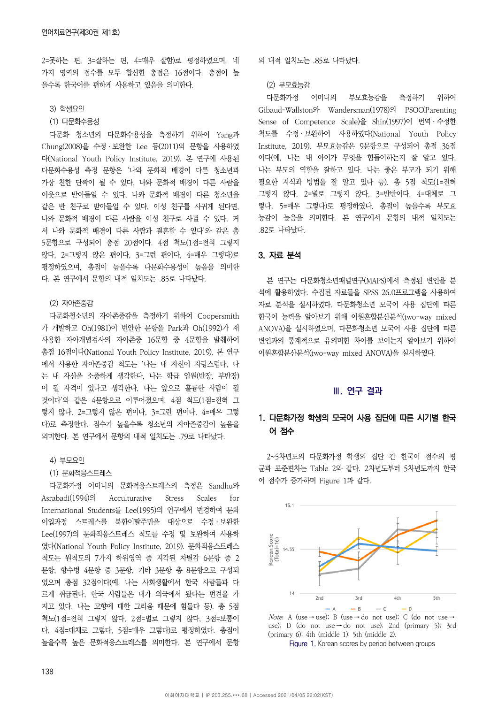2=못하는 편, 3=잘하는 편, 4=매우 잘함)로 평정하였으며, 네 가지 영역의 점수를 모두 합산한 총점은 16점이다. 총점이 높 을수록 한국어를 편하게 사용하고 있음을 의미한다.

- 3) 학생요인
- (1) 다문화수용성

다문화 청소년의 다문화수용성을 측정하기 위하여 Yang과 Chung(2008)을 수정ㆍ보완한 Lee 등(2011)의 문항을 사용하였 다(National Youth Policy Institute, 2019). 본 연구에 사용된 다문화수용성 측정 문항은 '나와 문화적 배경이 다른 청소년과 가장 친한 단짝이 될 수 있다, 나와 문화적 배경이 다른 사람을 이웃으로 받아들일 수 있다, 나와 문화적 배경이 다른 청소년을 같은 반 친구로 받아들일 수 있다, 이성 친구를 사귀게 된다면, 나와 문화적 배경이 다른 사람을 이성 친구로 사귈 수 있다. 커 서 나와 문화적 배경이 다른 사람과 결혼할 수 있다'와 같은 총 5문항으로 구성되어 총점 20점이다. 4점 척도(1점=전혀 그렇지 않다, 2=그렇지 않은 편이다, 3=그런 편이다, 4=매우 그렇다)로 평정하였으며, 총점이 높을수록 다문화수용성이 높음을 의미한 다. 본 연구에서 문항의 내적 일치도는 .85로 나타났다.

### (2) 자아존중감

다문화청소년의 자아존중감을 측정하기 위하여 Coopersmith 가 개발하고 Oh(1981)이 번안한 문항을 Park과 Oh(1992)가 재 사용한 자아개념검사의 자아존중 16문항 중 4문항을 발췌하여 총점 16점이다(National Youth Policy Institute, 2019). 본 연구 에서 사용한 자아존중감 척도는 '나는 내 자신이 자랑스럽다, 나 는 내 자신을 소중하게 생각한다, 나는 학급 임원(반장, 부반장) 이 될 자격이 있다고 생각한다, 나는 앞으로 훌륭한 사람이 될 것이다'와 같은 4문항으로 이루어졌으며, 4점 척도(1점=전혀 그 렇지 않다, 2=그렇지 않은 편이다, 3=그런 편이다, 4=매우 그렇 다)로 측정한다. 점수가 높을수록 청소년의 자아존중감이 높음을 의미한다. 본 연구에서 문항의 내적 일치도는 .79로 나타났다.

#### 4) 부모요인

#### (1) 문화적응스트레스

다문화가정 어머니의 문화적응스트레스의 측정은 Sandhu와 Asrabadi(1994)의 Acculturative Stress Scales for International Students를 Lee(1995)의 연구에서 변경하여 문화 이입과정 스트레스를 북한이탈주민을 대상으로 수정ㆍ보완한 Lee(1997)의 문화적응스트레스 척도를 수정 및 보완하여 사용하 였다(National Youth Policy Institute, 2019). 문화적응스트레스 척도는 원척도의 7가지 하위영역 중 지각된 차별감 6문항 중 2 문항, 향수병 4문항 중 3문항, 기타 3문항 총 8문항으로 구성되 었으며 총점 32점이다(예, 나는 사회생활에서 한국 사람들과 다 르게 취급된다, 한국 사람들은 내가 외국에서 왔다는 편견을 가 지고 있다, 나는 고향에 대한 그리움 때문에 힘들다 등). 총 5점 척도(1점=전혀 그렇지 않다, 2점=별로 그렇지 않다, 3점=보통이 다, 4점=대체로 그렇다, 5점=매우 그렇다)로 평정하였다. 총점이 높을수록 높은 문화적응스트레스를 의미한다. 본 연구에서 문항

의 내적 일치도는 .85로 나타났다.

### (2) 부모효능감

다문화가정 어머니의 부모효능감을 측정하기 위하여 Gibaud-Wallston와 Wandersman(1978)의 PSOC(Parenting Sense of Competence Scale)을 Shin(1997)이 번역ㆍ수정한 척도를 수정ㆍ보완하여 사용하였다(National Youth Policy Institute, 2019). 부모효능감은 9문항으로 구성되어 총점 36점 이다(예, 나는 내 아이가 무엇을 힘들어하는지 잘 알고 있다, 나는 부모의 역할을 잘하고 있다. 나는 좋은 부모가 되기 위해 필요한 지식과 방법을 잘 알고 있다 등). 총 5점 척도(1=전혀 그렇지 않다, 2=별로 그렇지 않다, 3=반반이다, 4=대체로 그 렇다, 5=매우 그렇다)로 평정하였다. 총점이 높을수록 부모효 능감이 높음을 의미한다. 본 연구에서 문항의 내적 일치도는 .82로 나타났다.

### 3. 자료 분석

본 연구는 다문화청소년패널연구(MAPS)에서 측정된 변인을 분 석에 활용하였다. 수집된 자료들을 SPSS 26.0프로그램을 사용하여 자료 분석을 실시하였다. 다문화청소년 모국어 사용 집단에 따른 한국어 능력을 알아보기 위해 이원혼합분산분석(two-way mixed ANOVA)을 실시하였으며, 다문화청소년 모국어 사용 집단에 따른 변인과의 통계적으로 유의미한 차이를 보이는지 알아보기 위하여 이원혼합분산분석(two-way mixed ANOVA)을 실시하였다.

## **Ⅲ. 연구 결과**

## 1. 다문화가정 학생의 모국어 사용 집단에 따른 시기별 한국 어 점수

2~5차년도의 다문화가정 학생의 집단 간 한국어 점수의 평 균과 표준편차는 Table 2와 같다. 2차년도부터 5차년도까지 한국 어 점수가 증가하며 Figure 1과 같다.



Note. A (use → use); B (use → do not use); C (do not use → use); D (do not use  $\rightarrow$  do not use); 2nd (primary 5); 3rd (primary 6); 4th (middle 1); 5th (middle 2).

Figure 1. Korean scores by period between groups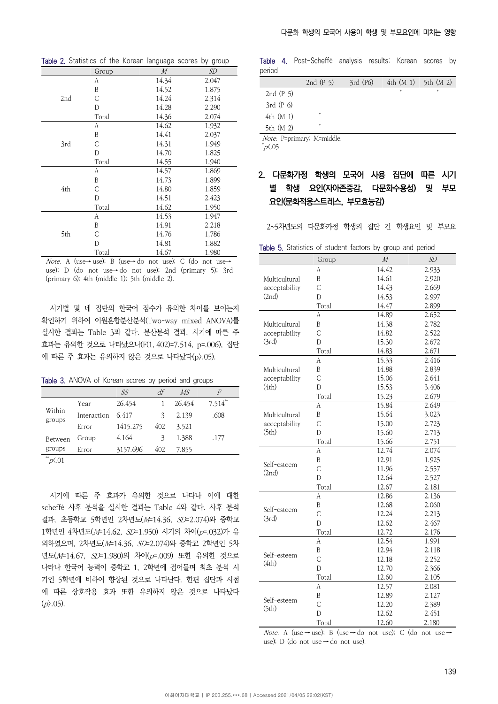|     | Group | M     | SD    |
|-----|-------|-------|-------|
|     | А     | 14.34 | 2.047 |
|     | B     | 14.52 | 1.875 |
| 2nd | C     | 14.24 | 2.314 |
|     | D     | 14.28 | 2.290 |
|     | Total | 14.36 | 2.074 |
|     | А     | 14.62 | 1.932 |
|     | B     | 14.41 | 2.037 |
| 3rd | C     | 14.31 | 1.949 |
|     | D     | 14.70 | 1.825 |
|     | Total | 14.55 | 1.940 |
|     | А     | 14.57 | 1.869 |
|     | B     | 14.73 | 1.899 |
| 4th | С     | 14.80 | 1.859 |
|     | D     | 14.51 | 2.423 |
|     | Total | 14.62 | 1.950 |
|     | А     | 14.53 | 1.947 |
|     | B     | 14.91 | 2.218 |
| 5th | С     | 14.76 | 1,786 |
|     | D     | 14.81 | 1.882 |
|     | Total | 14.67 | 1.980 |

Table 2. Statistics of the Korean language scores by group

Note. A (use→ use); B (use→ do not use); C (do not use→ use); D (do not use→ do not use); 2nd (primary 5); 3rd (primary 6); 4th (middle 1); 5th (middle 2).

시기별 및 네 집단의 한국어 점수가 유의한 차이를 보이는지 확인하기 위하여 이원혼합분산분석(Two-way mixed ANOVA)를 실시한 결과는 Table 3과 같다. 분산분석 결과, 시기에 따른 주 효과는 유의한 것으로 나타났으나(F(1, 402)=7.514, p=.006), 집단 에 따른 주 효과는 유의하지 않은 것으로 나타났다(p>.05).

Table 3. ANOVA of Korean scores by period and groups

|                  |             | SS       | df  | MS     | F            |
|------------------|-------------|----------|-----|--------|--------------|
| Within<br>groups | Year        | 26.454   |     | 26.454 | $7.514^{**}$ |
|                  | Interaction | 6.417    | 3   | 2.139  | .608         |
|                  | Error       | 1415.275 | 402 | 3.521  |              |
| <b>Between</b>   | Group       | 4.164    | 3   | 1.388  | .177         |
| groups           | Error       | 3157.696 | 402 | 7.855  |              |
| **               |             |          |     |        |              |

시기에 따른 주 효과가 유의한 것으로 나타나 이에 대한 scheffé 사후 분석을 실시한 결과는 Table 4와 같다. 사후 분석 결과, 초등학교 5학년인 2차년도(M=14.36, SD=2.074)와 중학교 1학년인 4차년도(M=14.62, SD=1.950) 시기의 차이(p=.032)가 유 의하였으며, 2차년도(M=14.36, SD=2.074)와 중학교 2학년인 5차 년도(M=14.67, SD=1.980)의 차이(p=.009) 또한 유의한 것으로 나타나 한국어 능력이 중학교 1, 2학년에 접어들며 최초 분석 시 기인 5학년에 비하여 향상된 것으로 나타난다. 한편 집단과 시점 에 따른 상호작용 효과 또한 유의하지 않은 것으로 나타났다  $(p)$ .05).

Table 4. Post-Scheffé analysis results: Korean scores by period

|             | 2nd $(P5)$   | $3rd$ (P6) | $4th (M1)$ 5th $(M2)$ |   |
|-------------|--------------|------------|-----------------------|---|
| 2nd $(P5)$  |              |            | $\ast$                | * |
| $3rd(P_0)$  |              |            |                       |   |
| $4th$ (M 1) | *            |            |                       |   |
| 5th (M 2)   | *            |            |                       |   |
|             | $\mathbf{M}$ |            |                       |   |

Note. P=primary; M=middle.

 $^*p\zeta.05$ 

## 2. 다문화가정 학생의 모국어 사용 집단에 따른 시기 별 학생 요인(자아존중감, 다문화수용성) 및 부모 요인(문화적응스트레스, 부모효능감)

2~5차년도의 다문화가정 학생의 집단 간 학생요인 및 부모요

Table 5. Statistics of student factors by group and period

|                      | Group          | $\cal M$ | SD    |
|----------------------|----------------|----------|-------|
|                      | А              | 14.42    | 2.933 |
| Multicultural        | B              | 14.61    | 2.920 |
| acceptability        | C              | 14.43    | 2.669 |
| (2nd)                | D              | 14.53    | 2.997 |
|                      | Total          | 14.47    | 2.899 |
|                      | A              | 14.89    | 2.652 |
| Multicultural        | B              | 14.38    | 2.782 |
| acceptability        | $\overline{C}$ | 14.82    | 2.522 |
| (3rd)                | D              | 15.30    | 2.672 |
|                      | Total          | 14.83    | 2.671 |
|                      | A              | 15.33    | 2.416 |
| Multicultural        | B              | 14.88    | 2.839 |
| acceptability        | $\overline{C}$ | 15.06    | 2.641 |
| (4th)                | D              | 15.53    | 3.406 |
|                      | Total          | 15.23    | 2.679 |
|                      | A              | 15.84    | 2.649 |
| Multicultural        | B              | 15.64    | 3.023 |
| acceptability        | $\mathsf C$    | 15.00    | 2.723 |
| (5th)                | D              | 15.60    | 2.713 |
|                      | Total          | 15.66    | 2.751 |
|                      | A              | 12.74    | 2.074 |
|                      | B              | 12.91    | 1.925 |
| Self-esteem<br>(2nd) | $\overline{C}$ | 11.96    | 2.557 |
|                      | D              | 12.64    | 2.527 |
|                      | Total          | 12.67    | 2.181 |
|                      | A              | 12.86    | 2.136 |
| Self-esteem          | B              | 12.68    | 2.060 |
| (3rd)                | Ċ              | 12.24    | 2.213 |
|                      | D              | 12.62    | 2.467 |
|                      | Total          | 12.72    | 2.176 |
|                      | А              | 12.54    | 1.991 |
| Self-esteem          | B              | 12.94    | 2.118 |
| (4th)                | $\overline{C}$ | 12.18    | 2.252 |
|                      | D              | 12.70    | 2.366 |
|                      | Total          | 12.60    | 2.105 |
|                      | А              | 12.57    | 2.081 |
|                      | B              | 12.89    | 2.127 |
| Self-esteem<br>(5th) | $\mathsf C$    | 12.20    | 2.389 |
|                      | D              | 12.62    | 2.451 |
|                      | Total          | 12.60    | 2.180 |

Note. A (use → use); B (use → do not use); C (do not use → use); D (do not use  $\rightarrow$  do not use).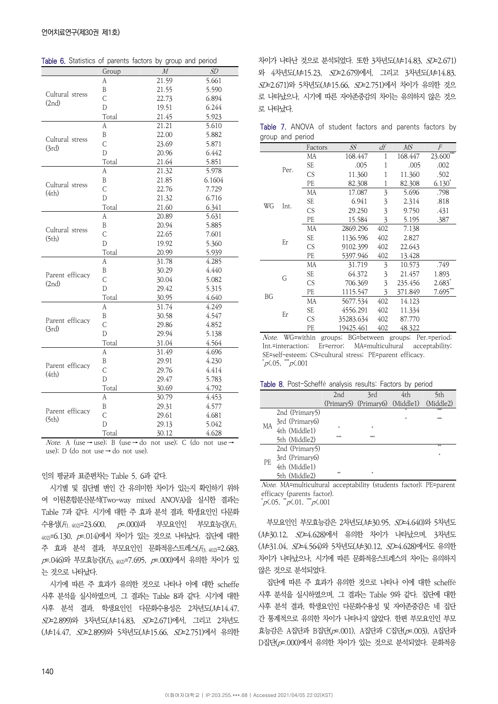|                          |             | radiodico or parento ractoro by group and penoa |        |
|--------------------------|-------------|-------------------------------------------------|--------|
|                          | Group       | $\overline{M}$                                  | SD     |
|                          | А           | 21.59                                           | 5.661  |
| Cultural stress          | B           | 21.55                                           | 5.590  |
| (2nd)                    | C           | 22.73                                           | 6.894  |
|                          | D           | 19.51                                           | 6.244  |
|                          | Total       | 21.45                                           | 5.923  |
|                          | A           | 21.21                                           | 5.610  |
| Cultural stress          | B           | 22.00                                           | 5.882  |
| (3rd)                    | $\mathsf C$ | 23.69                                           | 5.871  |
|                          | D           | 20.96                                           | 6.442  |
|                          | Total       | 21.64                                           | 5.851  |
|                          | А           | 21.32                                           | 5.978  |
| Cultural stress          | Β           | 21.85                                           | 6.1604 |
| (4th)                    | C           | 22.76                                           | 7.729  |
|                          | D           | 21.32                                           | 6.716  |
|                          | Total       | 21.60                                           | 6.341  |
|                          | A           | 20.89                                           | 5.631  |
| Cultural stress          | B           | 20.94                                           | 5.885  |
| (5th)                    | C           | 22.65                                           | 7.601  |
|                          | D           | 19.92                                           | 5.360  |
|                          | Total       | 20.99                                           | 5.939  |
|                          | А           | 31.78                                           | 4.285  |
|                          | B           | 30.29                                           | 4.440  |
| Parent efficacy<br>(2nd) | C           | 30.04                                           | 5.082  |
|                          | D           | 29.42                                           | 5.315  |
|                          | Total       | 30.95                                           | 4.640  |
|                          | А           | 31.74                                           | 4.249  |
|                          | B           | 30.58                                           | 4.547  |
| Parent efficacy<br>(3rd) | Ċ           | 29.86                                           | 4.852  |
|                          | D           | 29.94                                           | 5.138  |
|                          | Total       | 31.04                                           | 4.564  |
|                          | А           | 31.49                                           | 4.696  |
|                          | B           | 29.91                                           | 4.230  |
| Parent efficacy<br>(4th) | C           | 29.76                                           | 4.414  |
|                          | D           | 29.47                                           | 5.783  |
|                          | Total       | 30.69                                           | 4.792  |
|                          | А           | 30.79                                           | 4.453  |
|                          | B           | 29.31                                           | 4.577  |
| Parent efficacy          | C           | 29.61                                           | 4.681  |
| (5th)                    | D           | 29.13                                           | 5.042  |
|                          | Total       | 30.12                                           | 4.628  |

Table 6. Statistics of parents factors by group and period

Note. A (use → use); B (use → do not use); C (do not use → use); D (do not use → do not use).

### 인의 평균과 표준편차는 Table 5, 6과 같다.

시기별 및 집단별 변인 간 유의미한 차이가 있는지 확인하기 위하 여 이원혼합분산분석(Two-way mixed ANOVA)을 실시한 결과는 Table 7과 같다. 시기에 대한 주 효과 분석 결과, 학생요인인 다문화 수용성 $(F_{(1, 402)}=23.600, \quad p=000)$ 과 부모요인인 부모효능감 $(F_{(1, 402)}=23.600, \quad p=000)$ 402)=6.130, p=.014)에서 차이가 있는 것으로 나타났다. 집단에 대한 주 효과 분석 결과, 부모요인인 문화적응스트레스( $F_{3.402}$ =2.683,  $p=0.046$ )와 부모효능감 $(F_{3,402})$ =7.695,  $p=0.000$ )에서 유의한 차이가 있 는 것으로 나타났다.

시기에 따른 주 효과가 유의한 것으로 나타나 이에 대한 scheffe 사후 분석을 실시하였으며, 그 결과는 Table 8과 같다. 시기에 대한  $\lambda$ 후 분석 결과, 학생요인인 다문화수용성은 2차년도 $(M=14.47,$ SD=2.899)와 3차년도(M=14.83, SD=2.671)에서, 그리고 2차년도 (M=14.47, SD=2.899)와 5차년도(M=15.66, SD=2.751)에서 유의한

차이가 나타난 것으로 분석되었다. 또한 3차년도(M=14.83, SD=2.671) 와 4차년도(M=15.23, SD=2.679)에서, 그리고 3차년도(M=14.83, SD=2.671)와 5차년도(M=15.66, SD=2.751)에서 차이가 유의한 것으 로 나타났으나, 시기에 따른 자아존중감의 차이는 유의하지 않은 것으 로 나타났다.

Table 7. ANOVA of student factors and parents factors by group and period

|           |      | Factors   | SS        | df             | MS      | F                    |
|-----------|------|-----------|-----------|----------------|---------|----------------------|
|           |      | MA        | 168.447   | 1              | 168.447 | 888<br>23.600        |
|           |      | SE        | .005      | 1              | .005    | .002                 |
|           | Per. | <b>CS</b> | 11.360    | 1              | 11.360  | .502                 |
|           |      | PE        | 82.308    | 1              | 82.308  | $6.130^{*}$          |
|           |      | МA        | 17.087    | $\overline{3}$ | 5.696   | .798                 |
|           |      | SE        | 6.941     | 3              | 2.314   | .818                 |
| WG        | Int. | <b>CS</b> | 29.250    | 3              | 9.750   | .431                 |
|           |      | PE        | 15.584    | 3              | 5.195   | .387                 |
|           |      | МA        | 2869.296  | 402            | 7.138   |                      |
|           |      | SE        | 1136.596  | 402            | 2.827   |                      |
|           | Er   | <b>CS</b> | 9102.399  | 402            | 22.643  |                      |
|           |      | PE        | 5397.946  | 402            | 13.428  |                      |
|           |      | MA        | 31.719    | 3              | 10.573  | .749                 |
|           | G    | SE        | 64.372    | 3              | 21.457  | 1.893                |
|           |      | <b>CS</b> | 706.369   | 3              | 235.456 | $2.683$ <sup>*</sup> |
| <b>BG</b> |      | PE        | 1115.547  | 3              | 371.849 | 7.695`               |
|           |      | MA        | 5677.534  | 402            | 14.123  |                      |
|           | Er   | SE        | 4556.291  | 402            | 11.334  |                      |
|           |      | <b>CS</b> | 35283.634 | 402            | 87.770  |                      |
|           |      | PE        | 19425.461 | 402            | 48.322  |                      |

Note. WG=within groups; BG=between groups; Per.=period; Int.=interaction; Er=error; MA=multicultural acceptability; SE=self-esteem; CS=cultural stress; PE=parent efficacy.  $p\zeta$ .05,  $\frac{1}{p}\zeta$ .001

#### Table 8. Post-Scheffé analysis results: Factors by period

|    |                | 2 <sub>nd</sub> | 3rd                             | 4th | 5th       |
|----|----------------|-----------------|---------------------------------|-----|-----------|
|    |                |                 | (Primary5) (Primary6) (Middle1) |     | (Middle2) |
|    | 2nd (Primary5) |                 |                                 | 冰   | doble     |
| МA | 3rd (Primary6) |                 |                                 | sk. | stolet    |
|    | 4th (Middle1)  | ş.              | *                               |     |           |
|    | 5th (Middle2)  | <b>Scalar</b>   | stolet                          |     |           |
|    | 2nd (Primary5) |                 |                                 |     | dolo      |
|    | 3rd (Primary6) |                 |                                 |     | *         |
| PE | 4th (Middle1)  |                 |                                 |     |           |
|    | 5th (Middle2)  | dolo            | *                               |     |           |

Note. MA=multicultural acceptability (students factor); PE=parent efficacy (parents factor).

 $p\angle 05$ ,  $p\angle 01$ ,  $p\angle 001$ 

부모요인인 부모효능감은 2차년도(M=30.95, SD=4.640)와 5차년도 (M=30.12, SD=4.628)에서 유의한 차이가 나타났으며, 3차년도 (M=31.04, SD=4.564)와 5차년도(M=30.12, SD=4.628)에서도 유의한 차이가 나타났으나, 시기에 따른 문화적응스트레스의 차이는 유의하지 않은 것으로 분석되었다.

집단에 따른 주 효과가 유의한 것으로 나타나 이에 대한 scheffé 사후 분석을 실시하였으며, 그 결과는 Table 9와 같다. 집단에 대한 사후 분석 결과, 학생요인인 다문화수용성 및 자아존중감은 네 집단 간 통계적으로 유의한 차이가 나타나지 않았다. 한편 부모요인인 부모 효능감은 A집단과 B집단(p=.001), A집단과 C집단(p=.003), A집단과 D집단(p=.000)에서 유의한 차이가 있는 것으로 분석되었다. 문화적응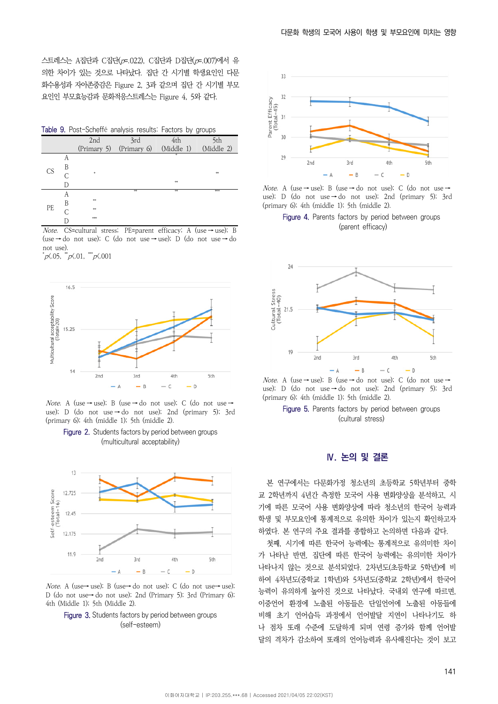스트레스는 A집단과 C집단(p=.022), C집단과 D집단(p=.007)에서 유 의한 차이가 있는 것으로 나타났다. 집단 간 시기별 학생요인인 다문 화수용성과 자아존중감은 Figure 2, 3과 같으며 집단 간 시기별 부모 요인인 부모효능감과 문화적응스트레스는 Figure 4, 5와 같다.

Table 9. Post-Scheffé analysis results: Factors by groups

|           |   |             |             |            | - <i>1</i> - 9 - 9 - 9 - 9 |
|-----------|---|-------------|-------------|------------|----------------------------|
|           |   | 2nd         | 3rd         | 4th        | 5th                        |
|           |   | (Primary 5) | (Primary 6) | (Middle 1) | (Middle 2)                 |
|           | А |             |             | *          |                            |
| <b>CS</b> | В |             |             |            |                            |
|           | C | *           |             |            | **                         |
|           |   |             |             | \$8        |                            |
|           | А |             | **          | \$8        | 844                        |
| PE        | B | 88          |             |            |                            |
|           | C | 88          |             |            |                            |
|           |   | ***         |             |            |                            |

Note. CS=cultural stress; PE=parent efficacy; A (use → use); B (use → do not use); C (do not use → use); D (do not use → do not use).

 $p\zeta$ .05,  $p\zeta$ .01,  $p\zeta$ .001



Note. A (use → use); B (use → do not use); C (do not use → use); D (do not use  $\rightarrow$  do not use); 2nd (primary 5); 3rd (primary 6); 4th (middle 1); 5th (middle 2).

Figure 2. Students factors by period between groups (multicultural acceptability)



Note. A (use→ use); B (use→ do not use); C (do not use→ use); D (do not use→ do not use); 2nd (Primary 5); 3rd (Primary 6); 4th (Middle 1); 5th (Middle 2).





Note. A (use → use); B (use → do not use); C (do not use → use); D (do not use  $\rightarrow$  do not use); 2nd (primary 5); 3rd (primary 6); 4th (middle 1); 5th (middle 2).

Figure 4. Parents factors by period between groups (parent efficacy)



Note. A (use → use); B (use → do not use); C (do not use → use); D (do not use → do not use); 2nd (primary 5); 3rd (primary 6); 4th (middle 1); 5th (middle 2).

Figure 5. Parents factors by period between groups (cultural stress)

## **Ⅳ. 논의 및 결론**

본 연구에서는 다문화가정 청소년의 초등학교 5학년부터 중학 교 2학년까지 4년간 측정한 모국어 사용 변화양상을 분석하고, 시 기에 따른 모국어 사용 변화양상에 따라 청소년의 한국어 능력과 학생 및 부모요인에 통계적으로 유의한 차이가 있는지 확인하고자 하였다. 본 연구의 주요 결과를 종합하고 논의하면 다음과 같다.

첫째, 시기에 따른 한국어 능력에는 통계적으로 유의미한 차이 가 나타난 반면, 집단에 따른 한국어 능력에는 유의미한 차이가 나타나지 않는 것으로 분석되었다. 2차년도(초등학교 5학년)에 비 하여 4차년도(중학교 1학년)와 5차년도(중학교 2학년)에서 한국어 능력이 유의하게 높아진 것으로 나타났다. 국내외 연구에 따르면, 이중언어 환경에 노출된 아동들은 단일언어에 노출된 아동들에 비해 초기 언어습득 과정에서 언어발달 지연이 나타나기도 하 나 점차 또래 수준에 도달하게 되며 연령 증가와 함께 언어발 달의 격차가 감소하여 또래의 언어능력과 유사해진다는 것이 보고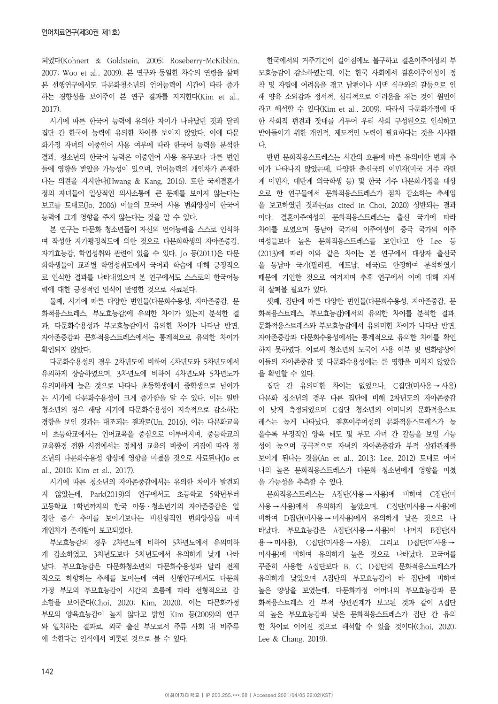되었다(Kohnert & Goldstein, 2005; Roseberry-McKibbin, 2007; Woo et al., 2009). 본 연구와 동일한 차수의 연령을 살펴 본 선행연구에서도 다문화청소년의 언어능력이 시간에 따라 증가 하는 경향성을 보여주어 본 연구 결과를 지지한다(Kim et al., 2017).

시기에 따른 한국어 능력에 유의한 차이가 나타났던 것과 달리 집단 간 한국어 능력에 유의한 차이를 보이지 않았다. 이에 다문 화가정 자녀의 이중언어 사용 여부에 따라 한국어 능력을 분석한 결과, 청소년의 한국어 능력은 이중언어 사용 유무보다 다른 변인 들에 영향을 받았을 가능성이 있으며, 언어능력의 개인차가 존재한 다는 의견을 지지한다(Hwang & Kang, 2016). 또한 국제결혼가 정의 자녀들이 일상적인 의사소통에 큰 문제를 보이지 않는다는 보고를 토대로(Jo, 2006) 이들의 모국어 사용 변화양상이 한국어 능력에 크게 영향을 주지 않는다는 것을 알 수 있다.

본 연구는 다문화 청소년들이 자신의 언어능력을 스스로 인식하 여 작성한 자가평정척도에 의한 것으로 다문화학생의 자아존중감, 자기효능감, 학업성취와 관련이 있을 수 있다. Jo 등(2011)은 다문 화학생들이 교과별 학업성취도에서 국어과 학습에 대해 긍정적으 로 인식한 결과를 나타내었으며 본 연구에서도 스스로의 한국어능 력에 대한 긍정적인 인식이 반영한 것으로 사료된다.

둘째, 시기에 따른 다양한 변인들(다문화수용성, 자아존중감, 문 화적응스트레스, 부모효능감)에 유의한 차이가 있는지 분석한 결 과, 다문화수용성과 부모효능감에서 유의한 차이가 나타난 반면, 자아존중감과 문화적응스트레스에서는 통계적으로 유의한 차이가 확인되지 않았다.

다문화수용성의 경우 2차년도에 비하여 4차년도와 5차년도에서 유의하게 상승하였으며, 3차년도에 비하여 4차년도와 5차년도가 유의미하게 높은 것으로 나타나 초등학생에서 중학생으로 넘어가 는 시기에 다문화수용성이 크게 증가함을 알 수 있다. 이는 일반 청소년의 경우 해당 시기에 다문화수용성이 지속적으로 감소하는 경향을 보인 것과는 대조되는 결과로(Un, 2016), 이는 다문화교육 이 초등학교에서는 언어교육을 중심으로 이루어지며, 중등학교의 교육환경 전환 시점에서는 정체성 교육의 비중이 커짐에 따라 청 소년의 다문화수용성 향상에 영향을 미쳤을 것으로 사료된다(Jo et al., 2010; Kim et al., 2017).

시기에 따른 청소년의 자아존중감에서는 유의한 차이가 발견되 지 않았는데, Park(2019)의 연구에서도 초등학교 5학년부터 고등학교 1학년까지의 한국 아동ㆍ청소년기의 자아존중감은 일 정한 증가 추이를 보이기보다는 비선형적인 변화양상을 띠며 개인차가 존재함이 보고되었다.

부모효능감의 경우 2차년도에 비하여 5차년도에서 유의미하 게 감소하였고, 3차년도보다 5차년도에서 유의하게 낮게 나타 났다. 부모효능감은 다문화청소년의 다문화수용성과 달리 전체 적으로 하향하는 추세를 보이는데 여러 선행연구에서도 다문화 가정 부모의 부모효능감이 시간의 흐름에 따라 선형적으로 감 소함을 보여준다(Choi, 2020; Kim, 2020). 이는 다문화가정 부모의 양육효능감이 높지 않다고 밝힌 Kim 등(2009)의 연구 와 일치하는 결과로, 외국 출신 부모로서 주류 사회 내 비주류 에 속한다는 인식에서 비롯된 것으로 볼 수 있다.

한국에서의 거주기간이 길어짐에도 불구하고 결혼이주여성의 부 모효능감이 감소하였는데, 이는 한국 사회에서 결혼이주여성이 정 착 및 자립에 어려움을 겪고 남편이나 시댁 식구와의 갈등으로 인 해 양육 소외감과 정서적, 심리적으로 어려움을 겪는 것이 원인이 라고 해석할 수 있다(Kim et al., 2009). 따라서 다문화가정에 대 한 사회적 편견과 잣대를 거두어 우리 사회 구성원으로 인식하고 받아들이기 위한 개인적, 제도적인 노력이 필요하다는 것을 시사한 다.

반면 문화적응스트레스는 시간의 흐름에 따른 유의미한 변화 추 이가 나타나지 않았는데, 다양한 출신국의 이민자(미국 거주 라틴 계 이민자, 대만계 외국학생 등) 및 한국 거주 다문화가정을 대상 으로 한 연구들에서 문화적응스트레스가 점차 감소하는 추세임 을 보고하였던 것과는(as cited in Choi, 2020) 상반되는 결과 이다. 결혼이주여성의 문화적응스트레스는 출신 국가에 따라 차이를 보였으며 동남아 국가의 이주여성이 중국 국가의 이주 여성들보다 높은 문화적응스트레스를 보인다고 한 Lee 등 (2013)에 따라 이와 같은 차이는 본 연구에서 대상자 출신국 을 동남아 국가(필리핀, 베트남, 태국)로 한정하여 분석하였기 때문에 기인한 것으로 여겨지며 추후 연구에서 이에 대해 자세 히 살펴볼 필요가 있다.

셋째, 집단에 따른 다양한 변인들(다문화수용성, 자아존중감, 문 화적응스트레스, 부모효능감)에서의 유의한 차이를 분석한 결과, 문화적응스트레스와 부모효능감에서 유의미한 차이가 나타난 반면, 자아존중감과 다문화수용성에서는 통계적으로 유의한 차이를 확인 하지 못하였다. 이로써 청소년의 모국어 사용 여부 및 변화양상이 이들의 자아존중감 및 다문화수용성에는 큰 영향을 미치지 않았음 을 확인할 수 있다.

집단 간 유의미한 차이는 없었으나, C집단(미사용 → 사용) 다문화 청소년의 경우 다른 집단에 비해 2차년도의 자아존중감 이 낮게 측정되었으며 C집단 청소년의 어머니의 문화적응스트 레스는 높게 나타났다. 결혼이주여성의 문화적응스트레스가 높 을수록 부정적인 양육 태도 및 부모 자녀 간 갈등을 보일 가능 성이 높으며 궁극적으로 자녀의 자아존중감과 부적 상관관계를 보이게 된다는 것을(An et al., 2013; Lee, 2012) 토대로 어머 니의 높은 문화적응스트레스가 다문화 청소년에게 영향을 미쳤 을 가능성을 추측할 수 있다.

문화적응스트레스는 A집단(사용 → 사용)에 비하여 C집단(미 사용 → 사용)에서 유의하게 높았으며, C집단(미사용 → 사용)에 비하여 D집단(미사용 → 미사용)에서 유의하게 낮은 것으로 나 타났다. 부모효능감은 A집단(사용 → 사용)이 나머지 B집단(사 용 → 미사용), C집단(미사용 → 사용), 그리고 D집단(미사용 → 미사용)에 비하여 유의하게 높은 것으로 나타났다. 모국어를 꾸준히 사용한 A집단보다 B, C, D집단의 문화적응스트레스가 유의하게 낮았으며 A집단의 부모효능감이 타 집단에 비하여 높은 양상을 보였는데, 다문화가정 어머니의 부모효능감과 문 화적응스트레스 간 부적 상관관계가 보고된 것과 같이 A집단 의 높은 부모효능감과 낮은 문화적응스트레스가 집단 간 유의 한 차이로 이어진 것으로 해석할 수 있을 것이다(Choi, 2020; Lee & Chang, 2019).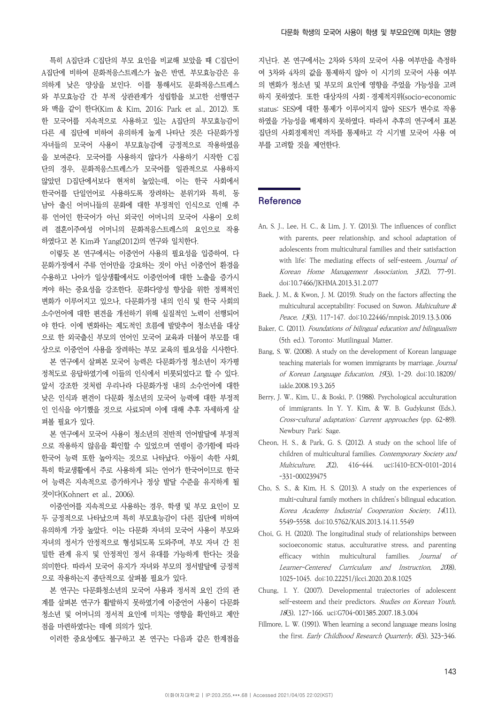특히 A집단과 C집단의 부모 요인을 비교해 보았을 때 C집단이 A집단에 비하여 문화적응스트레스가 높은 반면, 부모효능감은 유 의하게 낮은 양상을 보인다. 이를 통해서도 문화적응스트레스 와 부모효능감 간 부적 상관관계가 성립함을 보고한 선행연구 와 맥을 같이 한다(Kim & Kim, 2016; Park et al., 2012). 또 한 모국어를 지속적으로 사용하고 있는 A집단의 부모효능감이 다른 세 집단에 비하여 유의하게 높게 나타난 것은 다문화가정 자녀들의 모국어 사용이 부모효능감에 긍정적으로 작용하였음 을 보여준다. 모국어를 사용하지 않다가 사용하기 시작한 C집 단의 경우, 문화적응스트레스가 모국어를 일관적으로 사용하지 않았던 D집단에서보다 현저히 높았는데, 이는 한국 사회에서 한국어를 단일언어로 사용하도록 장려하는 분위기와 특히, 동 남아 출신 어머니들의 문화에 대한 부정적인 인식으로 인해 주 류 언어인 한국어가 아닌 외국인 어머니의 모국어 사용이 오히 려 결혼이주여성 어머니의 문화적응스트레스의 요인으로 작용 하였다고 본 Kim과 Yang(2012)의 연구와 일치한다.

이렇듯 본 연구에서는 이중언어 사용의 필요성을 입증하여, 다 문화가정에서 주류 언어만을 강요하는 것이 아닌 이중언어 환경을 수용하고 나아가 일상생활에서도 이중언어에 대한 노출을 증가시 켜야 하는 중요성을 강조한다. 문화다양성 향상을 위한 정책적인 변화가 이루어지고 있으나, 다문화가정 내의 인식 및 한국 사회의 소수언어에 대한 편견을 개선하기 위해 실질적인 노력이 선행되어 야 한다. 이에 변화하는 제도적인 흐름에 발맞추어 청소년을 대상 으로 한 외국출신 부모의 언어인 모국어 교육과 더불어 부모를 대 상으로 이중언어 사용을 장려하는 부모 교육의 필요성을 시사한다.

본 연구에서 살펴본 모국어 능력은 다문화가정 청소년이 자가평 정척도로 응답하였기에 이들의 인식에서 비롯되었다고 할 수 있다. 앞서 강조한 것처럼 우리나라 다문화가정 내의 소수언어에 대한 낮은 인식과 편견이 다문화 청소년의 모국어 능력에 대한 부정적 인 인식을 야기했을 것으로 사료되며 이에 대해 추후 자세하게 살 펴볼 필요가 있다.

본 연구에서 모국어 사용이 청소년의 전반적 언어발달에 부정적 으로 작용하지 않음을 확인할 수 있었으며 연령이 증가함에 따라 한국어 능력 또한 높아지는 것으로 나타났다. 아동이 속한 사회, 특히 학교생활에서 주로 사용하게 되는 언어가 한국어이므로 한국 어 능력은 지속적으로 증가하거나 정상 발달 수준을 유지하게 될 것이다(Kohnert et al., 2006).

이중언어를 지속적으로 사용하는 경우, 학생 및 부모 요인이 모 두 긍정적으로 나타났으며 특히 부모효능감이 다른 집단에 비하여 유의하게 가장 높았다. 이는 다문화 자녀의 모국어 사용이 부모와 자녀의 정서가 안정적으로 형성되도록 도와주며, 부모 자녀 간 친 밀한 관계 유지 및 안정적인 정서 유대를 가능하게 한다는 것을 의미한다. 따라서 모국어 유지가 자녀와 부모의 정서발달에 긍정적 으로 작용하는지 종단적으로 살펴볼 필요가 있다.

본 연구는 다문화청소년의 모국어 사용과 정서적 요인 간의 관 계를 살펴본 연구가 활발하지 못하였기에 이중언어 사용이 다문화 청소년 및 어머니의 정서적 요인에 미치는 영향을 확인하고 제안 점을 마련하였다는 데에 의의가 있다.

이러한 중요성에도 불구하고 본 연구는 다음과 같은 한계점을

지닌다. 본 연구에서는 2차와 5차의 모국어 사용 여부만을 측정하 여 3차와 4차의 값을 통제하지 않아 이 시기의 모국어 사용 여부 의 변화가 청소년 및 부모의 요인에 영향을 주었을 가능성을 고려 하지 못하였다. 또한 대상자의 사회ㆍ경제적지위(socio-economic status: SES)에 대한 통제가 이루어지지 않아 SES가 변수로 작용 하였을 가능성을 배제하지 못하였다. 따라서 추후의 연구에서 표본 집단의 사회경제적인 격차를 통제하고 각 시기별 모국어 사용 여 부를 고려할 것을 제언한다.

## **Reference**

- An, S. J., Lee, H. C., & Lim, J. Y. (2013). The influences of conflict with parents, peer relationship, and school adaptation of adolescents from multicultural families and their satisfaction with life: The mediating effects of self-esteem. Journal of Korean Home Management Association, 31(2), 77-91. doi:10.7466/JKHMA.2013.31.2.077
- Baek, J. M., & Kwon, J. M. (2019). Study on the factors affecting the multicultural acceptability: Focused on Suwon. Multiculture & Peace, 13(3), 117-147. doi:10.22446/mnpisk.2019.13.3.006
- Baker, C. (2011). Foundations of bilingual education and bilingualism (5th ed.). Toronto: Mutilingual Matter.
- Bang, S. W. (2008). A study on the development of Korean language teaching materials for women immigrants by marriage. Journal of Korean Language Education, 19(3), 1-29. doi:10.18209/ iakle.2008.19.3.265
- Berry, J. W., Kim, U., & Boski, P. (1988). Psychological acculturation of immigrants. In Y. Y. Kim, & W. B. Gudykunst (Eds.), Cross-cultural adaptation: Current approaches (pp. 62-89). Newbury Park: Sage.
- Cheon, H. S., & Park, G. S. (2012). A study on the school life of children of multicultural families. Contemporary Society and Multiculture, 2(2), 416-444. uci:I410-ECN-0101-2014 -331-000239475
- Cho, S. S., & Kim, H. S. (2013). A study on the experiences of multi-cultural family mothers in children's bilingual education. Korea Academy Industrial Cooperation Society, 14(11), 5549-5558. doi:10.5762/KAIS.2013.14.11.5549
- Choi, G. H. (2020). The longitudinal study of relationships between socioeconomic status, acculturative stress, and parenting efficacy within multicultural families. Journal of Learner-Centered Curriculum and Instruction, 20(8), 1025-1045. doi:10.22251/jlcci.2020.20.8.1025
- Chung, I. Y. (2007). Developmental trajectories of adolescent self-esteem and their predictors. Studies on Korean Youth, 18(3), 127-166. uci:G704-001385.2007.18.3.004
- Fillmore, L. W. (1991). When learning a second language means losing the first. Early Childhood Research Quarterly, 6(3), 323-346.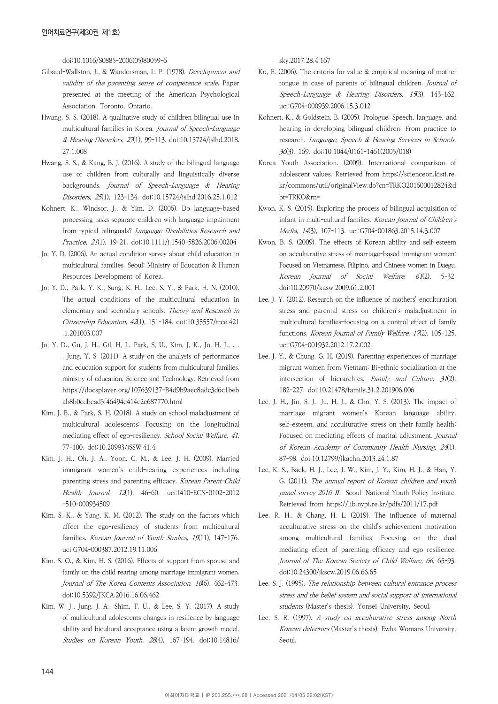doi:10.1016/S0885-2006(05)80059-6

- Gibaud-Wallston, J., & Wandersman, L. P. (1978). Development and validity of the parenting sense of competence scale. Paper presented at the meeting of the American Psychological Association, Toronto, Ontario.
- Hwang, S. S. (2018). A qualitative study of children bilingual use in multicultural families in Korea. Journal of Speech-Language & Hearing Disorders, 27(1), 99-113. doi:10.15724/jslhd.2018. 27.1.008
- Hwang, S. S., & Kang, B. J. (2016). A study of the bilingual language use of children from culturally and linguistically diverse backgrounds. Journal of Speech-Language & Hearing Disorders, 25(1), 123-134. doi:10.15724/jslhd.2016.25.1.012
- Kohnert, K., Windsor, J., & Yim, D. (2006). Do language-based processing tasks separate children with language impairment from typical bilinguals? Language Disabilities Research and Practice, 21(1), 19-21. doi:10.1111/j.1540-5826.2006.00204
- Jo, Y. D. (2006). An actual condition survey about child education in multicultural families. Seoul: Ministry of Education & Human Resources Development of Korea.
- Jo, Y. D., Park, Y. K., Sung, K. H., Lee, S. Y., & Park, H. N. (2010). The actual conditions of the multicultural education in elementary and secondary schools. Theory and Research in Citizenship Education, 42(1), 151-184. doi:10.35557/trce.421 .1.201003.007
- Jo, Y, D., Gu, J, H., Gil, H, J., Park, S, U., Kim, J, K., Jo, H. J., . . . Jung, Y, S. (2011). A study on the analysis of performance and education support for students from multicultural families. ministry of education, Science and Technology. Retrieved from https://docsplayer.org/107639137-B4d9b9aec8adc3d6c1beb ab8b0edbcad5f46494e414c2e687770.html
- Kim, J. B., & Park, S. H. (2018). A study on school maladjustment of multicultural adolescents: Focusing on the longitudinal mediating effect of ego-resiliency. School Social Welfare, 41, 77-100. doi:10.20993/jSSW.41.4
- Kim, J. H., Oh, J. A., Yoon, C. M., & Lee, J. H. (2009). Married immigrant women's child-rearing experiences including parenting stress and parenting efficacy. Korean Parent-Child Health Journal, 12(1), 46-60. uci:I410-ECN-0102-2012 -510-000934509
- Kim, S. K., & Yang, K. M. (2012). The study on the factors which affect the ego-resiliency of students from multicultural families. Korean Journal of Youth Studies, 19(11), 147-176. uci:G704-000387.2012.19.11.006
- Kim, S. O., & Kim, H. S. (2016). Effects of support from spouse and family on the child rearing among marriage immigrant women. Journal of The Korea Contents Association, 16(6), 462-473. doi:10.5392/JKCA.2016.16.06.462
- Kim, W. J., Jung, J. A., Shim, T. U., & Lee, S. Y. (2017). A study of multicultural adolescents changes in resilience by language ability and bicultural acceptance using a latent growth model. Studies on Korean Youth, 28(4), 167-194. doi:10.14816/

sky.2017.28.4.167

- Ko, E. (2006). The criteria for value & empirical meaning of mother tongue in case of parents of bilingual children. Journal of Speech-Language & Hearing Disorders, 15(3), 143-162. uci:G704-000939.2006.15.3.012
- Kohnert, K., & Goldstein, B. (2005). Prologue: Speech, language, and hearing in developing bilingual children: From practice to research. Language, Speech & Hearing Services in Schools. 36(3), 169. doi:10.1044/0161-1461(2005/018)
- Korea Youth Association. (2009). International comparison of adolescent values. Retrieved from https://scienceon.kisti.re. kr/commons/util/originalView.do?cn=TRKO201600012824&d bt=TRKO&rn=
- Kwon, K. S. (2015). Exploring the process of bilingual acquisition of infant in multi-cultural families. Korean Journal of Children's Media, 14(3), 107-113. uci:G704-001863.2015.14.3.007
- Kwon, B. S. (2009). The effects of Korean ability and self-esteem on acculturative stress of marriage-based immigrant women: Focused on Vietnamese, Filipino, and Chinese women in Daegu. Korean Journal of Social Welfare, 61(2), 5-32. doi:10.20970/kasw.2009.61.2.001
- Lee, J. Y. (2012). Research on the influence of mothers' enculturation stress and parental stress on children's maladjustment in multicultural families–focusing on a control effect of family functions. Korean Journal of Family Welfare, 17(2), 105-125. uci:G704-001932.2012.17.2.002
- Lee, J. Y., & Chung, G. H. (2019). Parenting experiences of marriage migrant women from Vietnam: Bi-ethnic socialization at the intersection of hierarchies. Family and Culture, 31(2), 182-227. doi:10.21478/family.31.2.201906.006
- Lee, J. H., Jin, S. J., Ju, H. J., & Cho, Y. S. (2013). The impact of marriage migrant women's Korean language ability, self-esteem, and acculturative stress on their family health: Focused on mediating effects of marital adjustment. Journal of Korean Academy of Community Health Nursing, 24(1), 87-98. doi:10.12799/jkachn.2013.24.1.87
- Lee, K. S., Baek, H. J., Lee, J. W., Kim, J. Y., Kim, H. J., & Han, Y. G. (2011). The annual report of Korean children and youth panel survey 2010 II. Seoul: National Youth Policy Institute. Retrieved from https://lib.nypi.re.kr/pdfs/2011/17.pdf
- Lee, R. H., & Chang, H. L. (2019). The influence of maternal acculturative stress on the child's achievement motivation among multicultural families: Focusing on the dual mediating effect of parenting efficacy and ego resilience. Journal of The Korean Society of Child Welfare, 66, 65-93. doi:10.24300/jkscw.2019.06.66.65
- Lee, S. J. (1995). The relationship between cultural entrance process stress and the belief system and social support of international students (Master's thesis). Yonsei University, Seoul.
- Lee, S. R. (1997). A study on acculturative stress among North Korean defectors (Master's thesis). Ewha Womans University, Seoul.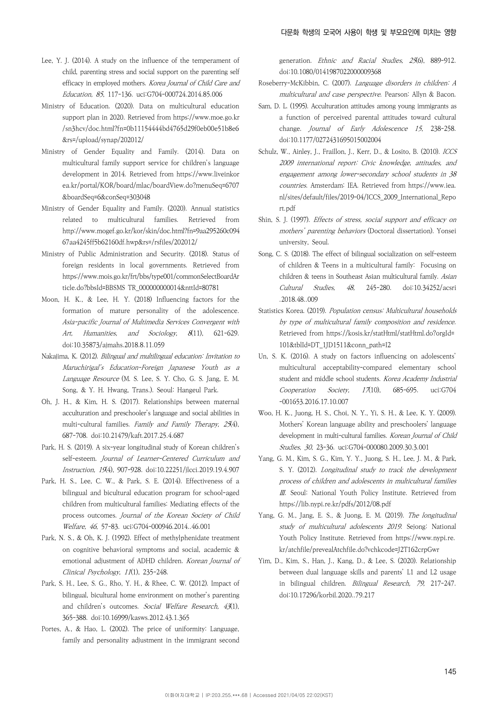- Lee, Y. J. (2014). A study on the influence of the temperament of child, parenting stress and social support on the parenting self efficacy in employed mothers. Korea Journal of Child Care and Education, 85, 117-136. uci:G704-000724.2014.85.006
- Ministry of Education. (2020). Data on multicultural education support plan in 2020. Retrieved from https://www.moe.go.kr /sn3hcv/doc.html?fn=0b11154444bd4765d29f0eb00e51b8e6 &rs=/upload/synap/202012/
- Ministry of Gender Equality and Family. (2014). Data on multicultural family support service for children's language development in 2014. Retrieved from https://www.liveinkor ea.kr/portal/KOR/board/mlac/boardView.do?menuSeq=6707 &boardSeq=6&conSeq=303048
- Ministry of Gender Equality and Family. (2020). Annual statistics related to multicultural families. Retrieved from http://www.mogef.go.kr/kor/skin/doc.html?fn=9aa295260c094 67aa4245ff5b62160df.hwp&rs=/rsfiles/202012/
- Ministry of Public Administration and Security. (2018). Status of foreign residents in local governments. Retrieved from https://www.mois.go.kr/frt/bbs/type001/commonSelectBoardAr ticle.do?bbsId=BBSMS TR\_000000000014&nttId=80781
- Moon, H. K., & Lee, H. Y. (2018) Influencing factors for the formation of mature personality of the adolescence. Asia-pacific Journal of Multimedia Services Convergent with Art, Humanities, and Sociology, 8(11), 621-629. doi:10.35873/ajmahs.2018.8.11.059
- Nakajima, K. (2012). Bilingual and multilingual education: Invitation to Maruchirigal's Education-Foreign Japanese Youth as a Language Resource (M. S. Lee, S. Y. Cho, G. S. Jang, E. M. Song, & Y. H. Hwang, Trans.). Seoul: Hangeul Park.
- Oh, J. H., & Kim, H. S. (2017). Relationships between maternal acculturation and preschooler's language and social abilities in multi-cultural families. Family and Family Therapy, 25(4), 687-708. doi:10.21479/kaft.2017.25.4.687
- Park, H. S. (2019). A six-year longitudinal study of Korean children's self-esteem. Journal of Learner-Centered Curriculum and Instruction, 19(4), 907-928. doi:10.22251/jlcci.2019.19.4.907
- Park, H. S., Lee, C. W., & Park, S. E. (2014). Effectiveness of a bilingual and bicultural education program for school-aged children from multicultural families: Mediating effects of the process outcomes. Journal of the Korean Society of Child Welfare, 46, 57-83. uci:G704-000946.2014..46.001
- Park, N. S., & Oh, K. J. (1992). Effect of methylphenidate treatment on cognitive behavioral symptoms and social, academic & emotional adjustment of ADHD children. Korean Journal of Clinical Psychology, 11(1), 235-248.
- Park, S. H., Lee, S. G., Rho, Y. H., & Rhee, C. W. (2012). Impact of bilingual, bicultural home environment on mother's parenting and children's outcomes. Social Welfare Research, 43(1), 365-388. doi:10.16999/kasws.2012.43.1.365
- Portes, A., & Hao, L. (2002). The price of uniformity: Language, family and personality adjustment in the immigrant second

generation. Ethnic and Racial Studies, 25(6), 889-912. doi:10.1080/0141987022000009368

- Roseberry-McKibbin, C. (2007). Language disorders in children: A multicultural and case perspective. Pearson: Allyn & Bacon.
- Sam, D. L. (1995). Acculturation attitudes among young immigrants as a function of perceived parental attitudes toward cultural change. Journal of Early Adolescence 15, 238-258. doi:10.1177/0272431695015002004
- Schulz, W., Ainley, J., Fraillon, J., Kerr, D., & Losito, B. (2010). ICCS 2009 international report: Civic knowledge, attitudes, and engagement among lower-secondary school students in 38 countries. Amsterdam: IEA. Retrieved from https://www.iea. nl/sites/default/files/2019-04/ICCS\_2009\_International\_Repo rt.pdf
- Shin, S. J. (1997). Effects of stress, social support and efficacy on mothers' parenting behaviors (Doctoral dissertation). Yonsei university, Seoul.
- Song, C. S. (2018). The effect of bilingual socialization on self-esteem of children & Teens in a multicultural family: Focusing on children & teens in Southeast Asian multicultural family. Asian Cultural Studies, 48, 245-280. doi:10.34252/acsri .2018.48..009
- Statistics Korea. (2019). Population census: Multicultural households by type of multicultural family composition and residence. Retrieved from https://kosis.kr/statHtml/statHtml.do?orgId= 101&tblId=DT\_1JD1511&conn\_path=I2
- Un, S. K. (2016). A study on factors influencing on adolescents' multicultural acceptability-compared elementary school student and middle school students. Korea Academy Industrial Cooperation Society, 17(10), 685-695. uci:G704 -001653.2016.17.10.007
- Woo, H. K., Juong, H. S., Choi, N. Y., Yi, S. H., & Lee, K. Y. (2009). Mothers' Korean language ability and preschoolers' language development in multi-cultural families. Korean Journal of Child Studies, 30, 23-36. uci:G704-000080.2009.30.3.001
- Yang, G. M., Kim, S. G., Kim, Y. Y., Juong, S. H., Lee, J. M., & Park, S. Y. (2012). Longitudinal study to track the development process of children and adolescents in multicultural families Ⅲ. Seoul: National Youth Policy Institute. Retrieved from https://lib.nypi.re.kr/pdfs/2012/08.pdf
- Yang, G. M., Jang, E. S., & Juong, E. M. (2019). The longitudinal study of multicultural adolescents 2019. Sejong: National Youth Policy Institute. Retrieved from https://www.nypi.re. kr/atchfile/prevealAtchfile.do?vchkcode=J2T162crpGwr
- Yim, D., Kim, S., Han, J., Kang, D., & Lee, S. (2020). Relationship between dual language skills and parents' L1 and L2 usage in bilingual children. Bilingual Research, 79, 217-247. doi:10.17296/korbil.2020..79.217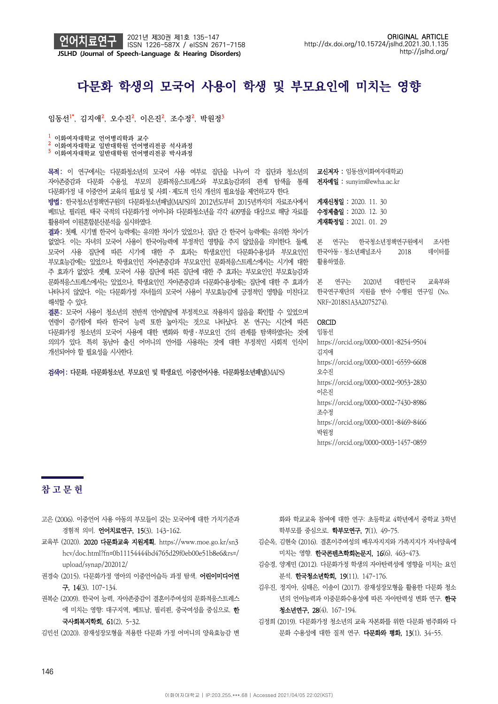

# 다문화 학생의 모국어 사용이 학생 및 부모요인에 미치는 영향

임동선<sup>1\*</sup>, 김지애<sup>2</sup>, 오수진<sup>2</sup>, 이은진<sup>2</sup>, 조수정<sup>2</sup>, 박원정<sup>3</sup>

<mark>1</mark> 이화여자대학교 언어병리학과 교수<br>2 이화여자대학교 일반대학원 언어병리전공 석사과정<br>3 이화여자대학교 일반대학원 언어병리전공 박사과정

목적: 이 연구에서는 다문화청소년의 모국어 사용 여부로 집단을 나누어 각 집단과 청소년의 자아존중감과 다문화 수용성, 부모의 문화적응스트레스와 부모효능감과의 관계 탐색을 통해 다문화가정 내 이중언어 교육의 필요성 및 사회ㆍ제도적 인식 개선의 필요성을 제언하고자 한다.

방법: 한국청소년정책연구원의 다문화청소년패널(MAPS)의 2012년도부터 2015년까지의 자료조사에서 베트남, 필리핀, 태국 국적의 다문화가정 어머니와 다문화청소년을 각각 409명을 대상으로 해당 자료를 활용하여 이원혼합분산분석을 실시하였다.

결과: 첫째, 시기별 한국어 능력에는 유의한 차이가 있었으나, 집단 간 한국어 능력에는 유의한 차이가 없었다. 이는 자녀의 모국어 사용이 한국어능력에 부정적인 영향을 주지 않았음을 의미한다. 둘째, 모국어 사용 집단에 따른 시기에 대한 주 효과는 학생요인인 다문화수용성과 부모요인인 부모효능감에는 있었으나, 학생요인인 자아존중감과 부모요인인 문화적응스트레스에서는 시기에 대한 주 효과가 없었다. 셋째, 모국어 사용 집단에 따른 집단에 대한 주 효과는 부모요인인 부모효능감과 문화적응스트레스에서는 있었으나, 학생요인인 자아존중감과 다문화수용성에는 집단에 대한 주 효과가 나타나지 않았다. 이는 다문화가정 자녀들의 모국어 사용이 부모효능감에 긍정적인 영향을 미친다고 해석할 수 있다.

결론: 모국어 사용이 청소년의 전반적 언어발달에 부정적으로 작용하지 않음을 확인할 수 있었으며 연령이 증가함에 따라 한국어 능력 또한 높아지는 것으로 나타났다. 본 연구는 시간에 따른 다문화가정 청소년의 모국어 사용에 대한 변화와 학생ㆍ부모요인 간의 관계를 탐색하였다는 것에 의의가 있다. 특히 동남아 출신 어머니의 언어를 사용하는 것에 대한 부정적인 사회적 인식이 개선되어야 할 필요성을 시사한다.

검색어: 다문화, 다문화청소년, 부모요인 및 학생요인, 이중언어사용, 다문화청소년패널(MAPS)

교신저자 : 임동선(이화여자대학교) 전자메일 : sunyim@ewha.ac.kr

게재신청일 : 2020. 11. 30 수정제출일 : 2020. 12. 30 게재확정일 : 2021. 01. 29

본 연구는 한국청소년정책연구원에서 조사한 한국아동ㆍ청소년패널조사 2018 데이터를 활용하였음.

본 연구는 2020년 대한민국 교육부와 한국연구재단의 지원을 받아 수행된 연구임 (No. NRF-2018S1A3A2075274).

**ORCID** 

임동선 https://orcid.org/0000-0001-8254-9504 김지애 https://orcid.org/0000-0001-6559-6608 오수진 https://orcid.org/0000-0002-9053-2830 이은진 https://orcid.org/0000-0002-7430-8986 조수정 https://orcid.org/0000-0001-8469-8466 박원정 https://orcid.org/0000-0003-1457-0859

## **참고문헌**

- 고은 (2006). 이중언어 사용 아동의 부모들이 갖는 모국어에 대한 가치기준과 경험적 의미. 언어치료연구, 15(3), 143-162.
- 교육부 (2020). 2020 다문화교육 지원계획. https://www.moe.go.kr/sn3 hcv/doc.html?fn=0b11154444bd4765d29f0eb00e51b8e6&rs=/ upload/synap/202012/
- 권경숙 (2015). 다문화가정 영아의 이중언어습득 과정 탐색. 어린이미디어연 구, 14(3), 107-134.
- 권복순 (2009). 한국어 능력, 자아존중감이 결혼이주여성의 문화적응스트레스 에 미치는 영향: 대구지역, 베트남, 필리핀, 중국여성을 중심으로. 한 국사회복지학회, 61(2), 5-32.

김민선 (2020). 잠재성장모형을 적용한 다문화 가정 어머니의 양육효능감 변

화와 학교교육 참여에 대한 연구: 초등학교 4학년에서 중학교 3학년 학부모를 중심으로. 학부모연구, 7(1), 49-75.

- 김순옥, 김현숙 (2016). 결혼이주여성의 배우자지지와 가족지지가 자녀양육에 미치는 영향. 한국콘텐츠학회논문지, 16(6), 463-473.
- 김승경, 양계민 (2012). 다문화가정 학생의 자아탄력성에 영향을 미치는 요인 분석. 한국청소년학회, 19(11), 147-176.
- 김우진, 정지아, 심태은, 이송이 (2017). 잠재성장모형을 활용한 다문화 청소 년의 언어능력과 이중문화수용성에 따른 자아탄력성 변화 연구. 한국 청소년연구, 28(4), 167-194.
- 김정희 (2019). 다문화가정 청소년의 교육 자본화를 위한 다문화 범주화와 다 문화 수용성에 대한 질적 연구. 다문화와 평화, 13(1), 34-55.